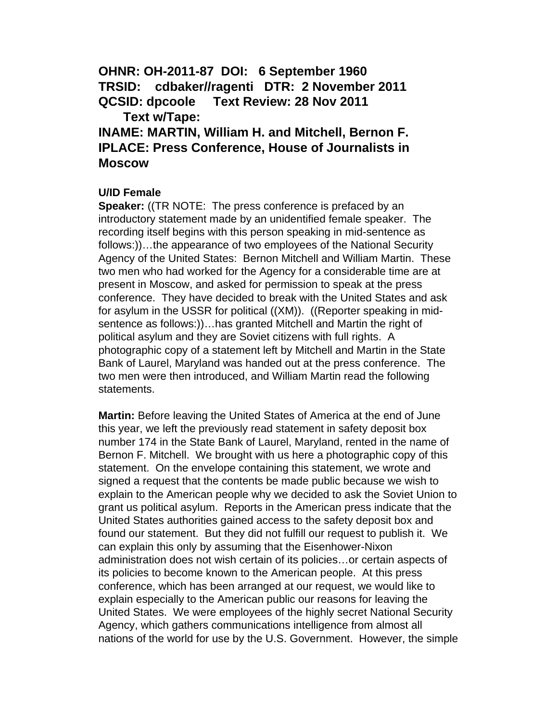**OHNR: OH-2011-87 DOI: 6 September 1960 TRSID: cdbaker//ragenti DTR: 2 November 2011 QCSID: dpcoole Text Review: 28 Nov 2011 Text w/Tape:** 

**INAME: MARTIN, William H. and Mitchell, Bernon F. IPLACE: Press Conference, House of Journalists in Moscow** 

# **U/ID Female**

**Speaker:** ((TR NOTE: The press conference is prefaced by an introductory statement made by an unidentified female speaker. The recording itself begins with this person speaking in mid-sentence as follows:))…the appearance of two employees of the National Security Agency of the United States: Bernon Mitchell and William Martin. These two men who had worked for the Agency for a considerable time are at present in Moscow, and asked for permission to speak at the press conference. They have decided to break with the United States and ask for asylum in the USSR for political ((XM)). ((Reporter speaking in midsentence as follows:))…has granted Mitchell and Martin the right of political asylum and they are Soviet citizens with full rights. A photographic copy of a statement left by Mitchell and Martin in the State Bank of Laurel, Maryland was handed out at the press conference. The two men were then introduced, and William Martin read the following statements.

**Martin:** Before leaving the United States of America at the end of June this year, we left the previously read statement in safety deposit box number 174 in the State Bank of Laurel, Maryland, rented in the name of Bernon F. Mitchell. We brought with us here a photographic copy of this statement. On the envelope containing this statement, we wrote and signed a request that the contents be made public because we wish to explain to the American people why we decided to ask the Soviet Union to grant us political asylum. Reports in the American press indicate that the United States authorities gained access to the safety deposit box and found our statement. But they did not fulfill our request to publish it. We can explain this only by assuming that the Eisenhower-Nixon administration does not wish certain of its policies…or certain aspects of its policies to become known to the American people. At this press conference, which has been arranged at our request, we would like to explain especially to the American public our reasons for leaving the United States.We were employees of the highly secret National Security Agency, which gathers communications intelligence from almost all nations of the world for use by the U.S. Government. However, the simple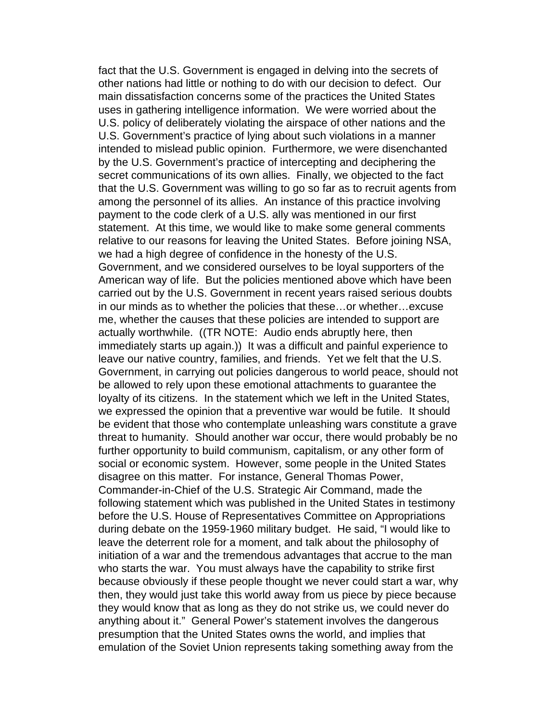fact that the U.S. Government is engaged in delving into the secrets of other nations had little or nothing to do with our decision to defect. Our main dissatisfaction concerns some of the practices the United States uses in gathering intelligence information. We were worried about the U.S. policy of deliberately violating the airspace of other nations and the U.S. Government's practice of lying about such violations in a manner intended to mislead public opinion. Furthermore, we were disenchanted by the U.S. Government's practice of intercepting and deciphering the secret communications of its own allies. Finally, we objected to the fact that the U.S. Government was willing to go so far as to recruit agents from among the personnel of its allies. An instance of this practice involving payment to the code clerk of a U.S. ally was mentioned in our first statement. At this time, we would like to make some general comments relative to our reasons for leaving the United States. Before joining NSA, we had a high degree of confidence in the honesty of the U.S. Government, and we considered ourselves to be loyal supporters of the American way of life. But the policies mentioned above which have been carried out by the U.S. Government in recent years raised serious doubts in our minds as to whether the policies that these…or whether…excuse me, whether the causes that these policies are intended to support are actually worthwhile. ((TR NOTE: Audio ends abruptly here, then immediately starts up again.)) It was a difficult and painful experience to leave our native country, families, and friends. Yet we felt that the U.S. Government, in carrying out policies dangerous to world peace, should not be allowed to rely upon these emotional attachments to guarantee the loyalty of its citizens. In the statement which we left in the United States, we expressed the opinion that a preventive war would be futile. It should be evident that those who contemplate unleashing wars constitute a grave threat to humanity. Should another war occur, there would probably be no further opportunity to build communism, capitalism, or any other form of social or economic system. However, some people in the United States disagree on this matter. For instance, General Thomas Power, Commander-in-Chief of the U.S. Strategic Air Command, made the following statement which was published in the United States in testimony before the U.S. House of Representatives Committee on Appropriations during debate on the 1959-1960 military budget. He said, "I would like to leave the deterrent role for a moment, and talk about the philosophy of initiation of a war and the tremendous advantages that accrue to the man who starts the war. You must always have the capability to strike first because obviously if these people thought we never could start a war, why then, they would just take this world away from us piece by piece because they would know that as long as they do not strike us, we could never do anything about it." General Power's statement involves the dangerous presumption that the United States owns the world, and implies that emulation of the Soviet Union represents taking something away from the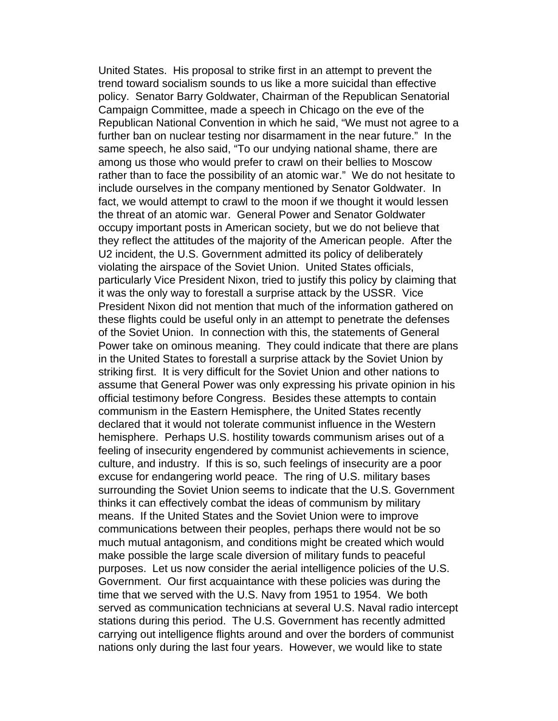United States. His proposal to strike first in an attempt to prevent the trend toward socialism sounds to us like a more suicidal than effective policy. Senator Barry Goldwater, Chairman of the Republican Senatorial Campaign Committee, made a speech in Chicago on the eve of the Republican National Convention in which he said, "We must not agree to a further ban on nuclear testing nor disarmament in the near future." In the same speech, he also said, "To our undying national shame, there are among us those who would prefer to crawl on their bellies to Moscow rather than to face the possibility of an atomic war." We do not hesitate to include ourselves in the company mentioned by Senator Goldwater. In fact, we would attempt to crawl to the moon if we thought it would lessen the threat of an atomic war. General Power and Senator Goldwater occupy important posts in American society, but we do not believe that they reflect the attitudes of the majority of the American people. After the U2 incident, the U.S. Government admitted its policy of deliberately violating the airspace of the Soviet Union. United States officials, particularly Vice President Nixon, tried to justify this policy by claiming that it was the only way to forestall a surprise attack by the USSR. Vice President Nixon did not mention that much of the information gathered on these flights could be useful only in an attempt to penetrate the defenses of the Soviet Union. In connection with this, the statements of General Power take on ominous meaning. They could indicate that there are plans in the United States to forestall a surprise attack by the Soviet Union by striking first. It is very difficult for the Soviet Union and other nations to assume that General Power was only expressing his private opinion in his official testimony before Congress. Besides these attempts to contain communism in the Eastern Hemisphere, the United States recently declared that it would not tolerate communist influence in the Western hemisphere. Perhaps U.S. hostility towards communism arises out of a feeling of insecurity engendered by communist achievements in science, culture, and industry. If this is so, such feelings of insecurity are a poor excuse for endangering world peace. The ring of U.S. military bases surrounding the Soviet Union seems to indicate that the U.S. Government thinks it can effectively combat the ideas of communism by military means. If the United States and the Soviet Union were to improve communications between their peoples, perhaps there would not be so much mutual antagonism, and conditions might be created which would make possible the large scale diversion of military funds to peaceful purposes. Let us now consider the aerial intelligence policies of the U.S. Government. Our first acquaintance with these policies was during the time that we served with the U.S. Navy from 1951 to 1954. We both served as communication technicians at several U.S. Naval radio intercept stations during this period. The U.S. Government has recently admitted carrying out intelligence flights around and over the borders of communist nations only during the last four years. However, we would like to state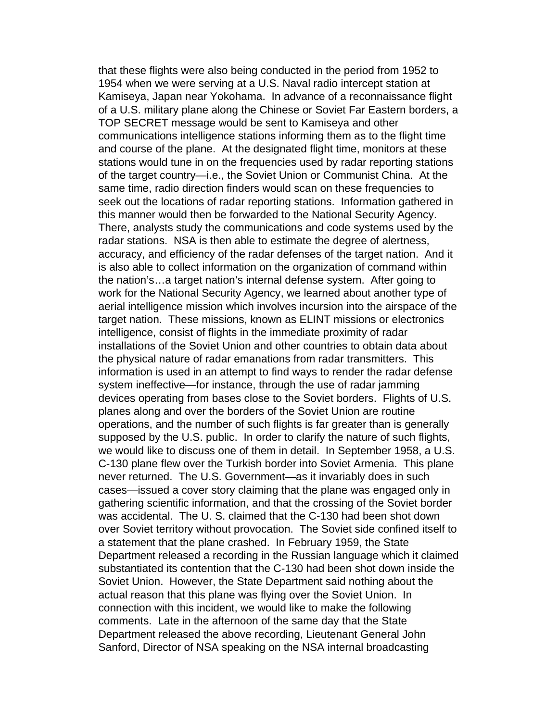that these flights were also being conducted in the period from 1952 to 1954 when we were serving at a U.S. Naval radio intercept station at Kamiseya, Japan near Yokohama. In advance of a reconnaissance flight of a U.S. military plane along the Chinese or Soviet Far Eastern borders, a TOP SECRET message would be sent to Kamiseya and other communications intelligence stations informing them as to the flight time and course of the plane. At the designated flight time, monitors at these stations would tune in on the frequencies used by radar reporting stations of the target country—i.e., the Soviet Union or Communist China. At the same time, radio direction finders would scan on these frequencies to seek out the locations of radar reporting stations. Information gathered in this manner would then be forwarded to the National Security Agency. There, analysts study the communications and code systems used by the radar stations. NSA is then able to estimate the degree of alertness, accuracy, and efficiency of the radar defenses of the target nation. And it is also able to collect information on the organization of command within the nation's…a target nation's internal defense system. After going to work for the National Security Agency, we learned about another type of aerial intelligence mission which involves incursion into the airspace of the target nation. These missions, known as ELINT missions or electronics intelligence, consist of flights in the immediate proximity of radar installations of the Soviet Union and other countries to obtain data about the physical nature of radar emanations from radar transmitters. This information is used in an attempt to find ways to render the radar defense system ineffective—for instance, through the use of radar jamming devices operating from bases close to the Soviet borders. Flights of U.S. planes along and over the borders of the Soviet Union are routine operations, and the number of such flights is far greater than is generally supposed by the U.S. public. In order to clarify the nature of such flights, we would like to discuss one of them in detail. In September 1958, a U.S. C-130 plane flew over the Turkish border into Soviet Armenia. This plane never returned. The U.S. Government—as it invariably does in such cases—issued a cover story claiming that the plane was engaged only in gathering scientific information, and that the crossing of the Soviet border was accidental. The U. S. claimed that the C-130 had been shot down over Soviet territory without provocation. The Soviet side confined itself to a statement that the plane crashed. In February 1959, the State Department released a recording in the Russian language which it claimed substantiated its contention that the C-130 had been shot down inside the Soviet Union. However, the State Department said nothing about the actual reason that this plane was flying over the Soviet Union. In connection with this incident, we would like to make the following comments. Late in the afternoon of the same day that the State Department released the above recording, Lieutenant General John Sanford, Director of NSA speaking on the NSA internal broadcasting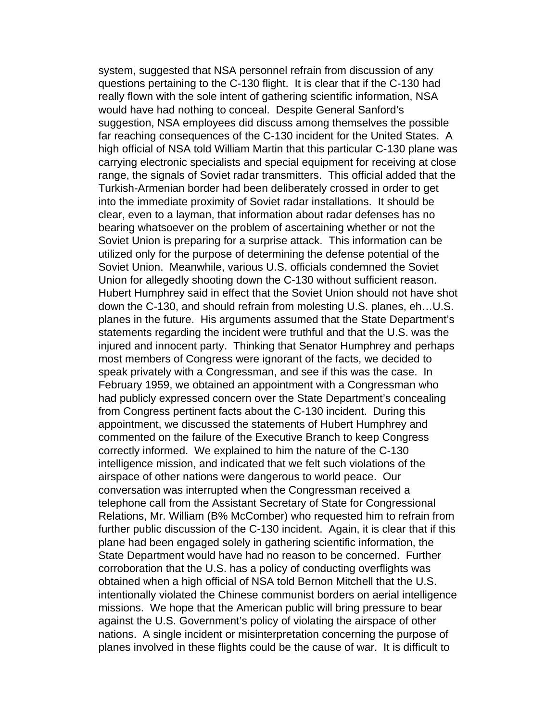system, suggested that NSA personnel refrain from discussion of any questions pertaining to the C-130 flight. It is clear that if the C-130 had really flown with the sole intent of gathering scientific information, NSA would have had nothing to conceal. Despite General Sanford's suggestion, NSA employees did discuss among themselves the possible far reaching consequences of the C-130 incident for the United States. A high official of NSA told William Martin that this particular C-130 plane was carrying electronic specialists and special equipment for receiving at close range, the signals of Soviet radar transmitters. This official added that the Turkish-Armenian border had been deliberately crossed in order to get into the immediate proximity of Soviet radar installations. It should be clear, even to a layman, that information about radar defenses has no bearing whatsoever on the problem of ascertaining whether or not the Soviet Union is preparing for a surprise attack. This information can be utilized only for the purpose of determining the defense potential of the Soviet Union. Meanwhile, various U.S. officials condemned the Soviet Union for allegedly shooting down the C-130 without sufficient reason. Hubert Humphrey said in effect that the Soviet Union should not have shot down the C-130, and should refrain from molesting U.S. planes, eh…U.S. planes in the future. His arguments assumed that the State Department's statements regarding the incident were truthful and that the U.S. was the injured and innocent party. Thinking that Senator Humphrey and perhaps most members of Congress were ignorant of the facts, we decided to speak privately with a Congressman, and see if this was the case. In February 1959, we obtained an appointment with a Congressman who had publicly expressed concern over the State Department's concealing from Congress pertinent facts about the C-130 incident. During this appointment, we discussed the statements of Hubert Humphrey and commented on the failure of the Executive Branch to keep Congress correctly informed. We explained to him the nature of the C-130 intelligence mission, and indicated that we felt such violations of the airspace of other nations were dangerous to world peace. Our conversation was interrupted when the Congressman received a telephone call from the Assistant Secretary of State for Congressional Relations, Mr. William (B% McComber) who requested him to refrain from further public discussion of the C-130 incident. Again, it is clear that if this plane had been engaged solely in gathering scientific information, the State Department would have had no reason to be concerned. Further corroboration that the U.S. has a policy of conducting overflights was obtained when a high official of NSA told Bernon Mitchell that the U.S. intentionally violated the Chinese communist borders on aerial intelligence missions. We hope that the American public will bring pressure to bear against the U.S. Government's policy of violating the airspace of other nations. A single incident or misinterpretation concerning the purpose of planes involved in these flights could be the cause of war. It is difficult to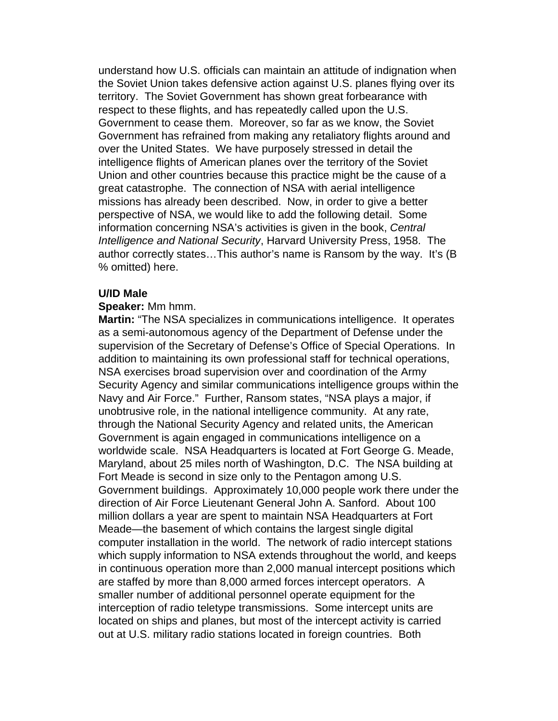understand how U.S. officials can maintain an attitude of indignation when the Soviet Union takes defensive action against U.S. planes flying over its territory. The Soviet Government has shown great forbearance with respect to these flights, and has repeatedly called upon the U.S. Government to cease them. Moreover, so far as we know, the Soviet Government has refrained from making any retaliatory flights around and over the United States. We have purposely stressed in detail the intelligence flights of American planes over the territory of the Soviet Union and other countries because this practice might be the cause of a great catastrophe. The connection of NSA with aerial intelligence missions has already been described. Now, in order to give a better perspective of NSA, we would like to add the following detail. Some information concerning NSA's activities is given in the book, *Central Intelligence and National Security*, Harvard University Press, 1958. The author correctly states…This author's name is Ransom by the way. It's (B % omitted) here.

## **U/ID Male**

## **Speaker:** Mm hmm.

**Martin:** "The NSA specializes in communications intelligence. It operates as a semi-autonomous agency of the Department of Defense under the supervision of the Secretary of Defense's Office of Special Operations. In addition to maintaining its own professional staff for technical operations, NSA exercises broad supervision over and coordination of the Army Security Agency and similar communications intelligence groups within the Navy and Air Force." Further, Ransom states, "NSA plays a major, if unobtrusive role, in the national intelligence community. At any rate, through the National Security Agency and related units, the American Government is again engaged in communications intelligence on a worldwide scale. NSA Headquarters is located at Fort George G. Meade, Maryland, about 25 miles north of Washington, D.C. The NSA building at Fort Meade is second in size only to the Pentagon among U.S. Government buildings. Approximately 10,000 people work there under the direction of Air Force Lieutenant General John A. Sanford. About 100 million dollars a year are spent to maintain NSA Headquarters at Fort Meade—the basement of which contains the largest single digital computer installation in the world. The network of radio intercept stations which supply information to NSA extends throughout the world, and keeps in continuous operation more than 2,000 manual intercept positions which are staffed by more than 8,000 armed forces intercept operators. A smaller number of additional personnel operate equipment for the interception of radio teletype transmissions. Some intercept units are located on ships and planes, but most of the intercept activity is carried out at U.S. military radio stations located in foreign countries. Both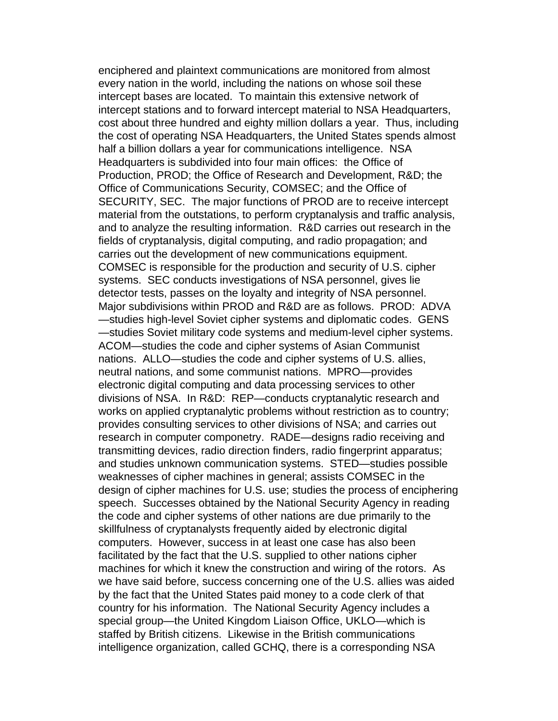enciphered and plaintext communications are monitored from almost every nation in the world, including the nations on whose soil these intercept bases are located. To maintain this extensive network of intercept stations and to forward intercept material to NSA Headquarters, cost about three hundred and eighty million dollars a year. Thus, including the cost of operating NSA Headquarters, the United States spends almost half a billion dollars a year for communications intelligence. NSA Headquarters is subdivided into four main offices: the Office of Production, PROD; the Office of Research and Development, R&D; the Office of Communications Security, COMSEC; and the Office of SECURITY, SEC. The major functions of PROD are to receive intercept material from the outstations, to perform cryptanalysis and traffic analysis, and to analyze the resulting information. R&D carries out research in the fields of cryptanalysis, digital computing, and radio propagation; and carries out the development of new communications equipment. COMSEC is responsible for the production and security of U.S. cipher systems. SEC conducts investigations of NSA personnel, gives lie detector tests, passes on the loyalty and integrity of NSA personnel. Major subdivisions within PROD and R&D are as follows. PROD: ADVA —studies high-level Soviet cipher systems and diplomatic codes. GENS —studies Soviet military code systems and medium-level cipher systems. ACOM—studies the code and cipher systems of Asian Communist nations. ALLO—studies the code and cipher systems of U.S. allies, neutral nations, and some communist nations. MPRO—provides electronic digital computing and data processing services to other divisions of NSA. In R&D: REP—conducts cryptanalytic research and works on applied cryptanalytic problems without restriction as to country; provides consulting services to other divisions of NSA; and carries out research in computer componetry. RADE—designs radio receiving and transmitting devices, radio direction finders, radio fingerprint apparatus; and studies unknown communication systems. STED—studies possible weaknesses of cipher machines in general; assists COMSEC in the design of cipher machines for U.S. use; studies the process of enciphering speech. Successes obtained by the National Security Agency in reading the code and cipher systems of other nations are due primarily to the skillfulness of cryptanalysts frequently aided by electronic digital computers. However, success in at least one case has also been facilitated by the fact that the U.S. supplied to other nations cipher machines for which it knew the construction and wiring of the rotors. As we have said before, success concerning one of the U.S. allies was aided by the fact that the United States paid money to a code clerk of that country for his information. The National Security Agency includes a special group—the United Kingdom Liaison Office, UKLO—which is staffed by British citizens. Likewise in the British communications intelligence organization, called GCHQ, there is a corresponding NSA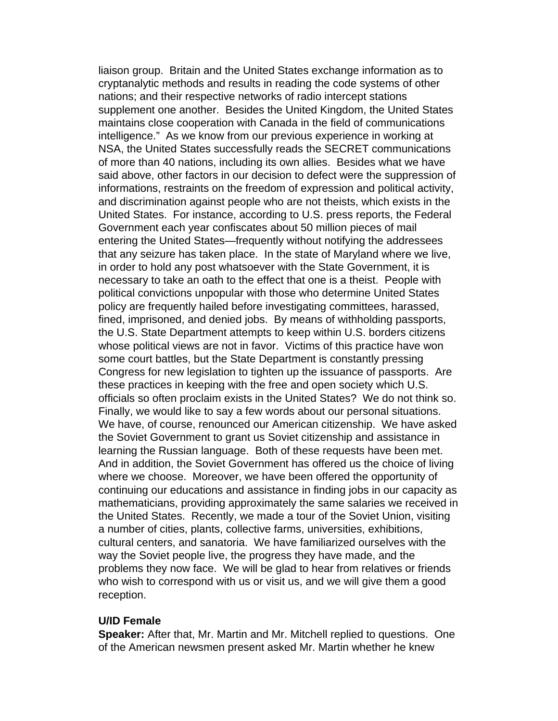liaison group. Britain and the United States exchange information as to cryptanalytic methods and results in reading the code systems of other nations; and their respective networks of radio intercept stations supplement one another. Besides the United Kingdom, the United States maintains close cooperation with Canada in the field of communications intelligence." As we know from our previous experience in working at NSA, the United States successfully reads the SECRET communications of more than 40 nations, including its own allies. Besides what we have said above, other factors in our decision to defect were the suppression of informations, restraints on the freedom of expression and political activity, and discrimination against people who are not theists, which exists in the United States. For instance, according to U.S. press reports, the Federal Government each year confiscates about 50 million pieces of mail entering the United States—frequently without notifying the addressees that any seizure has taken place. In the state of Maryland where we live, in order to hold any post whatsoever with the State Government, it is necessary to take an oath to the effect that one is a theist. People with political convictions unpopular with those who determine United States policy are frequently hailed before investigating committees, harassed, fined, imprisoned, and denied jobs. By means of withholding passports, the U.S. State Department attempts to keep within U.S. borders citizens whose political views are not in favor. Victims of this practice have won some court battles, but the State Department is constantly pressing Congress for new legislation to tighten up the issuance of passports. Are these practices in keeping with the free and open society which U.S. officials so often proclaim exists in the United States? We do not think so. Finally, we would like to say a few words about our personal situations. We have, of course, renounced our American citizenship. We have asked the Soviet Government to grant us Soviet citizenship and assistance in learning the Russian language. Both of these requests have been met. And in addition, the Soviet Government has offered us the choice of living where we choose. Moreover, we have been offered the opportunity of continuing our educations and assistance in finding jobs in our capacity as mathematicians, providing approximately the same salaries we received in the United States. Recently, we made a tour of the Soviet Union, visiting a number of cities, plants, collective farms, universities, exhibitions, cultural centers, and sanatoria. We have familiarized ourselves with the way the Soviet people live, the progress they have made, and the problems they now face. We will be glad to hear from relatives or friends who wish to correspond with us or visit us, and we will give them a good reception.

#### **U/ID Female**

**Speaker:** After that, Mr. Martin and Mr. Mitchell replied to questions. One of the American newsmen present asked Mr. Martin whether he knew